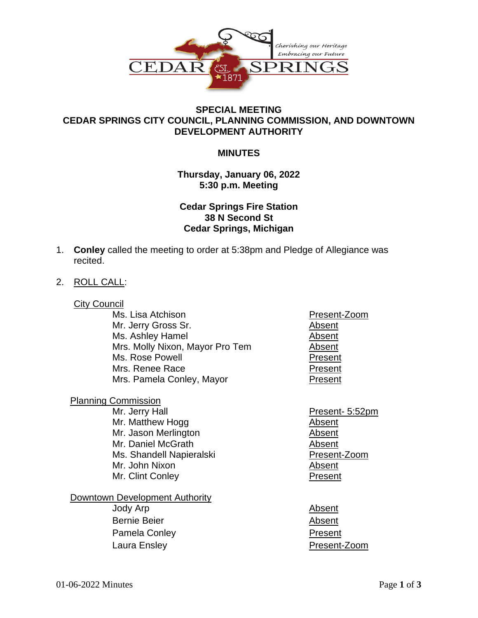

## **SPECIAL MEETING CEDAR SPRINGS CITY COUNCIL, PLANNING COMMISSION, AND DOWNTOWN DEVELOPMENT AUTHORITY**

### **MINUTES**

### **Thursday, January 06, 2022 5:30 p.m. Meeting**

# **Cedar Springs Fire Station 38 N Second St Cedar Springs, Michigan**

- 1. **Conley** called the meeting to order at 5:38pm and Pledge of Allegiance was recited.
- 2. ROLL CALL:
	- **City Council** 
		- Ms. Lisa Atchison **Present-Zoom** Mr. Jerry Gross Sr. Absent Ms. Ashley Hamel **Absent** Mrs. Molly Nixon, Mayor Pro Tem Absent Ms. Rose Powell **Present** Mrs. Renee Race **Present** Mrs. Pamela Conley, Mayor **Present**
	- Planning Commission Mr. Jerry Hall **Present- 5:52pm** Mr. Matthew Hogg **Absent** Mr. Jason Merlington **Absent** Mr. Daniel McGrath Absent Ms. Shandell Napieralski **Napieralski** Present-Zoom Mr. John Nixon **Absent** Mr. Clint Conley **Present**
	- Downtown Development Authority Jody Arp **Absent** Bernie Beier **Absent** Pamela Conley **Present**
- 
- 
- Laura Ensley **Present-Zoom**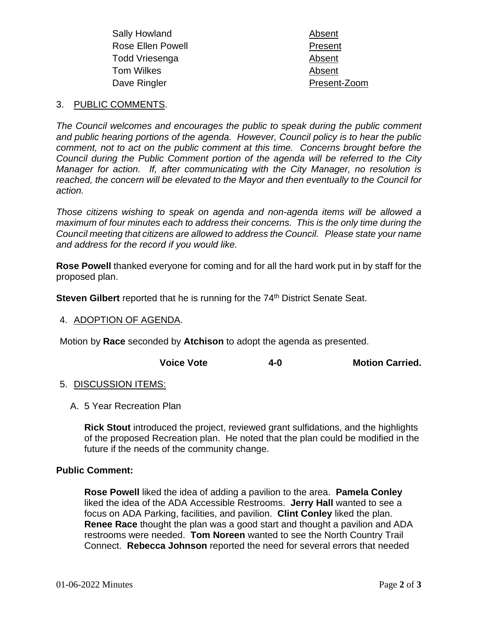| Sally Howland            | Absent       |
|--------------------------|--------------|
| <b>Rose Ellen Powell</b> | Present      |
| Todd Vriesenga           | Absent       |
| Tom Wilkes               | Absent       |
| Dave Ringler             | Present-Zoom |
|                          |              |

#### 3. PUBLIC COMMENTS.

*The Council welcomes and encourages the public to speak during the public comment and public hearing portions of the agenda. However, Council policy is to hear the public comment, not to act on the public comment at this time. Concerns brought before the Council during the Public Comment portion of the agenda will be referred to the City Manager for action. If, after communicating with the City Manager, no resolution is reached, the concern will be elevated to the Mayor and then eventually to the Council for action.*

*Those citizens wishing to speak on agenda and non-agenda items will be allowed a maximum of four minutes each to address their concerns. This is the only time during the Council meeting that citizens are allowed to address the Council. Please state your name and address for the record if you would like.*

**Rose Powell** thanked everyone for coming and for all the hard work put in by staff for the proposed plan.

**Steven Gilbert** reported that he is running for the 74<sup>th</sup> District Senate Seat.

#### 4. ADOPTION OF AGENDA.

Motion by **Race** seconded by **Atchison** to adopt the agenda as presented.

| <b>Voice Vote</b><br>4-0 | <b>Motion Carried.</b> |
|--------------------------|------------------------|
|--------------------------|------------------------|

#### 5. DISCUSSION ITEMS:

A. 5 Year Recreation Plan

**Rick Stout** introduced the project, reviewed grant sulfidations, and the highlights of the proposed Recreation plan. He noted that the plan could be modified in the future if the needs of the community change.

#### **Public Comment:**

**Rose Powell** liked the idea of adding a pavilion to the area. **Pamela Conley** liked the idea of the ADA Accessible Restrooms. **Jerry Hall** wanted to see a focus on ADA Parking, facilities, and pavilion. **Clint Conley** liked the plan. **Renee Race** thought the plan was a good start and thought a pavilion and ADA restrooms were needed. **Tom Noreen** wanted to see the North Country Trail Connect. **Rebecca Johnson** reported the need for several errors that needed